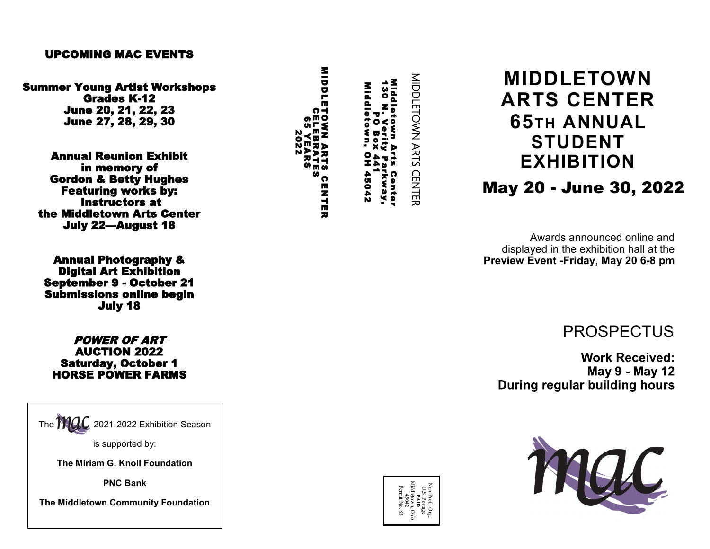### UPCOMING MAC EVENTS

Summer Young Artist Workshops Grades K -12 June 20, 21, 22, 23 June 27, 28, 29, 30

Annual Reunion Exhibit in memory of Gordon & Betty Hughes Featuring works by: Instructors at the Middletown Arts Center July 22 —August 18

Annual Photography & Digital Art Exhibition September 9 - October 21 Submissions online begin July 18

POWER OF ART AUCTION 2022 Saturday, October 1 HORSE POWER FARMS

The  $\bf{714}$  $\widetilde{\phantom{a}}$  2021-2022 Exhibition Season

is supported by:

**The Miriam G. Knoll Foundation**

**PNC Bank** 

**The Middletown Community Foundation**

130 N. Verity Parkway,<br>Middletown, OH 45042<br>Middletown, OH 45042<br>MIDDLETOWN ARTS CENTER CELEBRATESMIQUIETOWN ARTS Center<br>Middletown Arts Center<br>130 N. Verity Parkway,<br>Middletown, OH 45042<br>Middletown, OH 45042<br>IIDDLETOWN ARTS CENT<br>10DLETOWN ARTS CENT<br>65 YEARS<br>2022

Middletown Arts Center

# **MIDDLETOWN ARTS CENTER 65TH ANNUAL STUDENT EXHIBITION**

**May 20 - June 30, 2022** 

Awards announced online and displayed in the exhibition hall at the **Preview Event -Friday, May 20 6 -8 pm** 

PROSPECTUS

**Work Received: May 9 - May 12** During regular building hours



NonProfit Org. U.S. Postage **PAID** Middletown, Ohio 45042 Permit No. 83